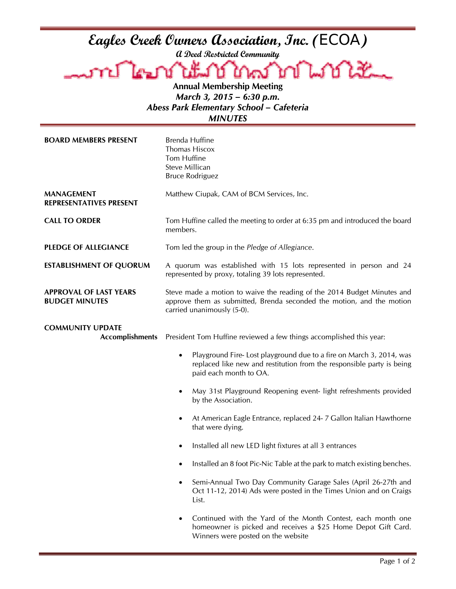## **Eagles Creek Owners Association, Inc. (**ECOA**)**

**A Deed Restricted Community** 

Lookt **Annual Membership Meeting** 

*March 3, 2015 – 6:30 p.m. Abess Park Elementary School – Cafeteria MINUTES* 

| <b>BOARD MEMBERS PRESENT</b>                           | <b>Brenda Huffine</b><br>Thomas Hiscox<br>Tom Huffine<br>Steve Millican<br><b>Bruce Rodriguez</b>                                                                                   |
|--------------------------------------------------------|-------------------------------------------------------------------------------------------------------------------------------------------------------------------------------------|
| <b>MANAGEMENT</b><br><b>REPRESENTATIVES PRESENT</b>    | Matthew Ciupak, CAM of BCM Services, Inc.                                                                                                                                           |
| <b>CALL TO ORDER</b>                                   | Tom Huffine called the meeting to order at 6:35 pm and introduced the board<br>members.                                                                                             |
| <b>PLEDGE OF ALLEGIANCE</b>                            | Tom led the group in the Pledge of Allegiance.                                                                                                                                      |
| <b>ESTABLISHMENT OF QUORUM</b>                         | A quorum was established with 15 lots represented in person and 24<br>represented by proxy, totaling 39 lots represented.                                                           |
| <b>APPROVAL OF LAST YEARS</b><br><b>BUDGET MINUTES</b> | Steve made a motion to waive the reading of the 2014 Budget Minutes and<br>approve them as submitted, Brenda seconded the motion, and the motion<br>carried unanimously (5-0).      |
| <b>COMMUNITY UPDATE</b><br><b>Accomplishments</b>      | President Tom Huffine reviewed a few things accomplished this year:                                                                                                                 |
|                                                        | Playground Fire-Lost playground due to a fire on March 3, 2014, was<br>$\bullet$<br>replaced like new and restitution from the responsible party is being<br>paid each month to OA. |
|                                                        | May 31st Playground Reopening event-light refreshments provided<br>by the Association.                                                                                              |
|                                                        | At American Eagle Entrance, replaced 24-7 Gallon Italian Hawthorne<br>that were dying.                                                                                              |
|                                                        | Installed all new LED light fixtures at all 3 entrances<br>$\bullet$                                                                                                                |
|                                                        | Installed an 8 foot Pic-Nic Table at the park to match existing benches.                                                                                                            |
|                                                        | Semi-Annual Two Day Community Garage Sales (April 26-27th and<br>Oct 11-12, 2014) Ads were posted in the Times Union and on Craigs<br>List.                                         |
|                                                        | Continued with the Yard of the Month Contest, each month one<br>homeowner is picked and receives a \$25 Home Depot Gift Card.<br>Winners were posted on the website                 |